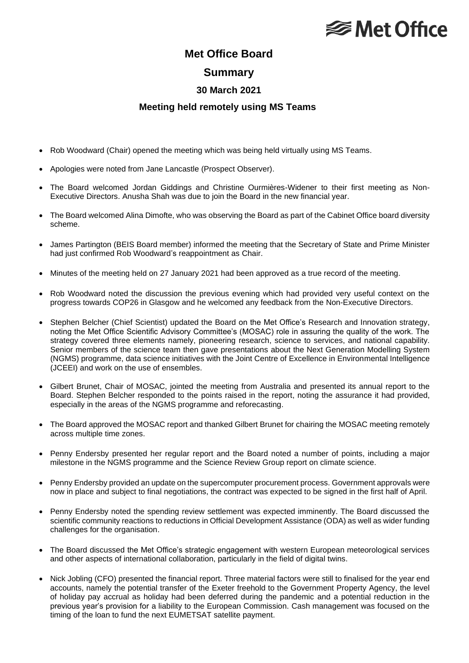# **<del></del>** Met Office

## **Met Office Board**

#### **Summary**

### **30 March 2021**

#### **Meeting held remotely using MS Teams**

- Rob Woodward (Chair) opened the meeting which was being held virtually using MS Teams.
- Apologies were noted from Jane Lancastle (Prospect Observer).
- The Board welcomed Jordan Giddings and Christine Ourmières-Widener to their first meeting as Non-Executive Directors. Anusha Shah was due to join the Board in the new financial year.
- The Board welcomed Alina Dimofte, who was observing the Board as part of the Cabinet Office board diversity scheme.
- James Partington (BEIS Board member) informed the meeting that the Secretary of State and Prime Minister had just confirmed Rob Woodward's reappointment as Chair.
- Minutes of the meeting held on 27 January 2021 had been approved as a true record of the meeting.
- Rob Woodward noted the discussion the previous evening which had provided very useful context on the progress towards COP26 in Glasgow and he welcomed any feedback from the Non-Executive Directors.
- Stephen Belcher (Chief Scientist) updated the Board on the Met Office's Research and Innovation strategy, noting the Met Office Scientific Advisory Committee's (MOSAC) role in assuring the quality of the work. The strategy covered three elements namely, pioneering research, science to services, and national capability. Senior members of the science team then gave presentations about the Next Generation Modelling System (NGMS) programme, data science initiatives with the Joint Centre of Excellence in Environmental Intelligence (JCEEI) and work on the use of ensembles.
- Gilbert Brunet, Chair of MOSAC, jointed the meeting from Australia and presented its annual report to the Board. Stephen Belcher responded to the points raised in the report, noting the assurance it had provided, especially in the areas of the NGMS programme and reforecasting.
- The Board approved the MOSAC report and thanked Gilbert Brunet for chairing the MOSAC meeting remotely across multiple time zones.
- Penny Endersby presented her regular report and the Board noted a number of points, including a major milestone in the NGMS programme and the Science Review Group report on climate science.
- Penny Endersby provided an update on the supercomputer procurement process. Government approvals were now in place and subject to final negotiations, the contract was expected to be signed in the first half of April.
- Penny Endersby noted the spending review settlement was expected imminently. The Board discussed the scientific community reactions to reductions in Official Development Assistance (ODA) as well as wider funding challenges for the organisation.
- The Board discussed the Met Office's strategic engagement with western European meteorological services and other aspects of international collaboration, particularly in the field of digital twins.
- Nick Jobling (CFO) presented the financial report. Three material factors were still to finalised for the year end accounts, namely the potential transfer of the Exeter freehold to the Government Property Agency, the level of holiday pay accrual as holiday had been deferred during the pandemic and a potential reduction in the previous year's provision for a liability to the European Commission. Cash management was focused on the timing of the loan to fund the next EUMETSAT satellite payment.